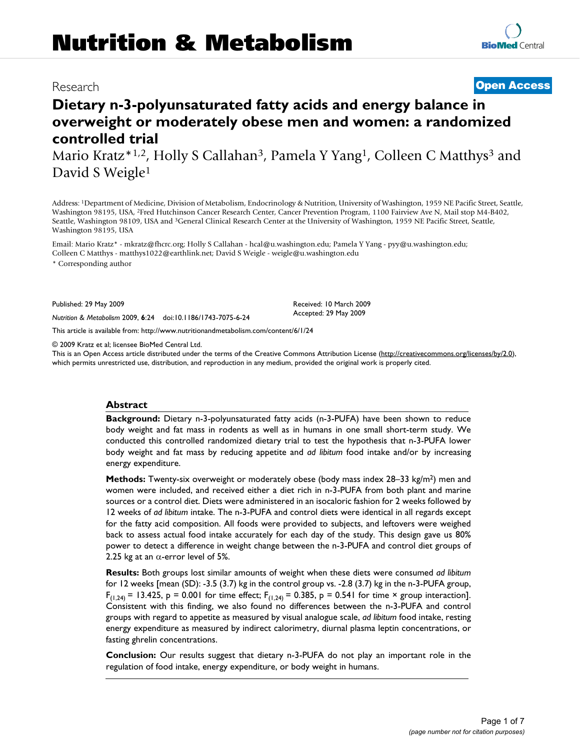# Research **[Open Access](http://www.biomedcentral.com/info/about/charter/) Dietary n-3-polyunsaturated fatty acids and energy balance in overweight or moderately obese men and women: a randomized**

**controlled trial** Mario Kratz\*1,2, Holly S Callahan<sup>3</sup>, Pamela Y Yang<sup>1</sup>, Colleen C Matthys<sup>3</sup> and David S Weigle<sup>1</sup>

Address: 1Department of Medicine, Division of Metabolism, Endocrinology & Nutrition, University of Washington, 1959 NE Pacific Street, Seattle, Washington 98195, USA, 2Fred Hutchinson Cancer Research Center, Cancer Prevention Program, 1100 Fairview Ave N, Mail stop M4-B402, Seattle, Washington 98109, USA and 3General Clinical Research Center at the University of Washington, 1959 NE Pacific Street, Seattle, Washington 98195, USA

Email: Mario Kratz\* - mkratz@fhcrc.org; Holly S Callahan - hcal@u.washington.edu; Pamela Y Yang - pyy@u.washington.edu; Colleen C Matthys - matthys1022@earthlink.net; David S Weigle - weigle@u.washington.edu

\* Corresponding author

Published: 29 May 2009

*Nutrition & Metabolism* 2009, **6**:24 doi:10.1186/1743-7075-6-24

[This article is available from: http://www.nutritionandmetabolism.com/content/6/1/24](http://www.nutritionandmetabolism.com/content/6/1/24)

© 2009 Kratz et al; licensee BioMed Central Ltd.

This is an Open Access article distributed under the terms of the Creative Commons Attribution License [\(http://creativecommons.org/licenses/by/2.0\)](http://creativecommons.org/licenses/by/2.0), which permits unrestricted use, distribution, and reproduction in any medium, provided the original work is properly cited.

### **Abstract**

**Background:** Dietary n-3-polyunsaturated fatty acids (n-3-PUFA) have been shown to reduce body weight and fat mass in rodents as well as in humans in one small short-term study. We conducted this controlled randomized dietary trial to test the hypothesis that n-3-PUFA lower body weight and fat mass by reducing appetite and *ad libitum* food intake and/or by increasing energy expenditure.

**Methods:** Twenty-six overweight or moderately obese (body mass index 28–33 kg/m<sup>2</sup>) men and women were included, and received either a diet rich in n-3-PUFA from both plant and marine sources or a control diet. Diets were administered in an isocaloric fashion for 2 weeks followed by 12 weeks of *ad libitum* intake. The n-3-PUFA and control diets were identical in all regards except for the fatty acid composition. All foods were provided to subjects, and leftovers were weighed back to assess actual food intake accurately for each day of the study. This design gave us 80% power to detect a difference in weight change between the n-3-PUFA and control diet groups of 2.25 kg at an  $\alpha$ -error level of 5%.

**Results:** Both groups lost similar amounts of weight when these diets were consumed *ad libitum* for 12 weeks [mean (SD): -3.5 (3.7) kg in the control group vs. -2.8 (3.7) kg in the n-3-PUFA group,  $F_{(1,24)} = 13.425$ , p = 0.001 for time effect;  $F_{(1,24)} = 0.385$ , p = 0.541 for time × group interaction]. Consistent with this finding, we also found no differences between the n-3-PUFA and control groups with regard to appetite as measured by visual analogue scale, *ad libitum* food intake, resting energy expenditure as measured by indirect calorimetry, diurnal plasma leptin concentrations, or fasting ghrelin concentrations.

**Conclusion:** Our results suggest that dietary n-3-PUFA do not play an important role in the regulation of food intake, energy expenditure, or body weight in humans.

Received: 10 March 2009 Accepted: 29 May 2009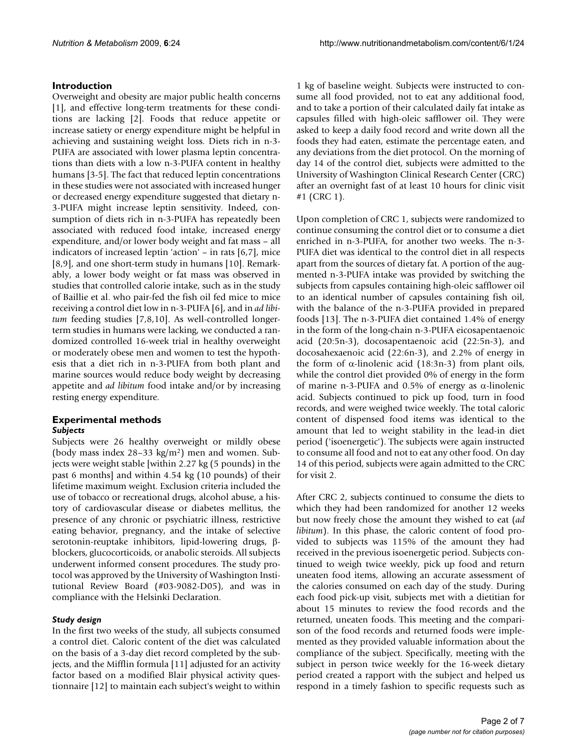# **Introduction**

Overweight and obesity are major public health concerns [1], and effective long-term treatments for these conditions are lacking [2]. Foods that reduce appetite or increase satiety or energy expenditure might be helpful in achieving and sustaining weight loss. Diets rich in n-3- PUFA are associated with lower plasma leptin concentrations than diets with a low n-3-PUFA content in healthy humans [3-5]. The fact that reduced leptin concentrations in these studies were not associated with increased hunger or decreased energy expenditure suggested that dietary n-3-PUFA might increase leptin sensitivity. Indeed, consumption of diets rich in n-3-PUFA has repeatedly been associated with reduced food intake, increased energy expenditure, and/or lower body weight and fat mass – all indicators of increased leptin 'action' – in rats [6,7], mice [8,9], and one short-term study in humans [10]. Remarkably, a lower body weight or fat mass was observed in studies that controlled calorie intake, such as in the study of Baillie et al. who pair-fed the fish oil fed mice to mice receiving a control diet low in n-3-PUFA [6], and in *ad libitum* feeding studies [7,8,10]. As well-controlled longerterm studies in humans were lacking, we conducted a randomized controlled 16-week trial in healthy overweight or moderately obese men and women to test the hypothesis that a diet rich in n-3-PUFA from both plant and marine sources would reduce body weight by decreasing appetite and *ad libitum* food intake and/or by increasing resting energy expenditure.

# **Experimental methods** *Subjects*

Subjects were 26 healthy overweight or mildly obese (body mass index 28–33 kg/m2) men and women. Subjects were weight stable [within 2.27 kg (5 pounds) in the past 6 months] and within 4.54 kg (10 pounds) of their lifetime maximum weight. Exclusion criteria included the use of tobacco or recreational drugs, alcohol abuse, a history of cardiovascular disease or diabetes mellitus, the presence of any chronic or psychiatric illness, restrictive eating behavior, pregnancy, and the intake of selective serotonin-reuptake inhibitors, lipid-lowering drugs, βblockers, glucocorticoids, or anabolic steroids. All subjects underwent informed consent procedures. The study protocol was approved by the University of Washington Institutional Review Board (#03-9082-D05), and was in compliance with the Helsinki Declaration.

# *Study design*

In the first two weeks of the study, all subjects consumed a control diet. Caloric content of the diet was calculated on the basis of a 3-day diet record completed by the subjects, and the Mifflin formula [11] adjusted for an activity factor based on a modified Blair physical activity questionnaire [12] to maintain each subject's weight to within

1 kg of baseline weight. Subjects were instructed to consume all food provided, not to eat any additional food, and to take a portion of their calculated daily fat intake as capsules filled with high-oleic safflower oil. They were asked to keep a daily food record and write down all the foods they had eaten, estimate the percentage eaten, and any deviations from the diet protocol. On the morning of day 14 of the control diet, subjects were admitted to the University of Washington Clinical Research Center (CRC) after an overnight fast of at least 10 hours for clinic visit #1 (CRC 1).

Upon completion of CRC 1, subjects were randomized to continue consuming the control diet or to consume a diet enriched in n-3-PUFA, for another two weeks. The n-3- PUFA diet was identical to the control diet in all respects apart from the sources of dietary fat. A portion of the augmented n-3-PUFA intake was provided by switching the subjects from capsules containing high-oleic safflower oil to an identical number of capsules containing fish oil, with the balance of the n-3-PUFA provided in prepared foods [13]. The n-3-PUFA diet contained 1.4% of energy in the form of the long-chain n-3-PUFA eicosapentaenoic acid (20:5n-3), docosapentaenoic acid (22:5n-3), and docosahexaenoic acid (22:6n-3), and 2.2% of energy in the form of α-linolenic acid  $(18:3n-3)$  from plant oils, while the control diet provided 0% of energy in the form of marine n-3-PUFA and 0.5% of energy as α-linolenic acid. Subjects continued to pick up food, turn in food records, and were weighed twice weekly. The total caloric content of dispensed food items was identical to the amount that led to weight stability in the lead-in diet period ('isoenergetic'). The subjects were again instructed to consume all food and not to eat any other food. On day 14 of this period, subjects were again admitted to the CRC for visit 2.

After CRC 2, subjects continued to consume the diets to which they had been randomized for another 12 weeks but now freely chose the amount they wished to eat (*ad libitum*). In this phase, the caloric content of food provided to subjects was 115% of the amount they had received in the previous isoenergetic period. Subjects continued to weigh twice weekly, pick up food and return uneaten food items, allowing an accurate assessment of the calories consumed on each day of the study. During each food pick-up visit, subjects met with a dietitian for about 15 minutes to review the food records and the returned, uneaten foods. This meeting and the comparison of the food records and returned foods were implemented as they provided valuable information about the compliance of the subject. Specifically, meeting with the subject in person twice weekly for the 16-week dietary period created a rapport with the subject and helped us respond in a timely fashion to specific requests such as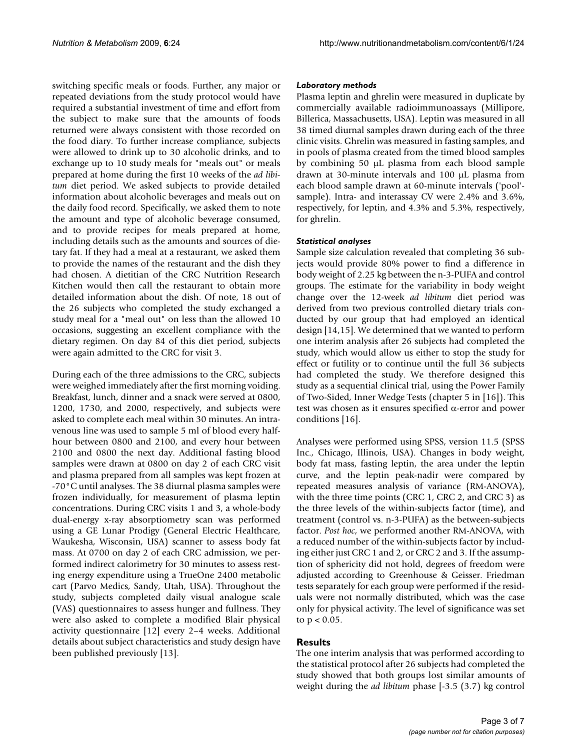switching specific meals or foods. Further, any major or repeated deviations from the study protocol would have required a substantial investment of time and effort from the subject to make sure that the amounts of foods returned were always consistent with those recorded on the food diary. To further increase compliance, subjects were allowed to drink up to 30 alcoholic drinks, and to exchange up to 10 study meals for "meals out" or meals prepared at home during the first 10 weeks of the *ad libitum* diet period. We asked subjects to provide detailed information about alcoholic beverages and meals out on the daily food record. Specifically, we asked them to note the amount and type of alcoholic beverage consumed, and to provide recipes for meals prepared at home, including details such as the amounts and sources of dietary fat. If they had a meal at a restaurant, we asked them to provide the names of the restaurant and the dish they had chosen. A dietitian of the CRC Nutrition Research Kitchen would then call the restaurant to obtain more detailed information about the dish. Of note, 18 out of the 26 subjects who completed the study exchanged a study meal for a "meal out" on less than the allowed 10 occasions, suggesting an excellent compliance with the dietary regimen. On day 84 of this diet period, subjects were again admitted to the CRC for visit 3.

During each of the three admissions to the CRC, subjects were weighed immediately after the first morning voiding. Breakfast, lunch, dinner and a snack were served at 0800, 1200, 1730, and 2000, respectively, and subjects were asked to complete each meal within 30 minutes. An intravenous line was used to sample 5 ml of blood every halfhour between 0800 and 2100, and every hour between 2100 and 0800 the next day. Additional fasting blood samples were drawn at 0800 on day 2 of each CRC visit and plasma prepared from all samples was kept frozen at -70°C until analyses. The 38 diurnal plasma samples were frozen individually, for measurement of plasma leptin concentrations. During CRC visits 1 and 3, a whole-body dual-energy x-ray absorptiometry scan was performed using a GE Lunar Prodigy (General Electric Healthcare, Waukesha, Wisconsin, USA) scanner to assess body fat mass. At 0700 on day 2 of each CRC admission, we performed indirect calorimetry for 30 minutes to assess resting energy expenditure using a TrueOne 2400 metabolic cart (Parvo Medics, Sandy, Utah, USA). Throughout the study, subjects completed daily visual analogue scale (VAS) questionnaires to assess hunger and fullness. They were also asked to complete a modified Blair physical activity questionnaire [12] every 2–4 weeks. Additional details about subject characteristics and study design have been published previously [13].

# *Laboratory methods*

Plasma leptin and ghrelin were measured in duplicate by commercially available radioimmunoassays (Millipore, Billerica, Massachusetts, USA). Leptin was measured in all 38 timed diurnal samples drawn during each of the three clinic visits. Ghrelin was measured in fasting samples, and in pools of plasma created from the timed blood samples by combining 50 μL plasma from each blood sample drawn at 30-minute intervals and 100 μL plasma from each blood sample drawn at 60-minute intervals ('pool' sample). Intra- and interassay CV were 2.4% and 3.6%, respectively, for leptin, and 4.3% and 5.3%, respectively, for ghrelin.

# *Statistical analyses*

Sample size calculation revealed that completing 36 subjects would provide 80% power to find a difference in body weight of 2.25 kg between the n-3-PUFA and control groups. The estimate for the variability in body weight change over the 12-week *ad libitum* diet period was derived from two previous controlled dietary trials conducted by our group that had employed an identical design [14,15]. We determined that we wanted to perform one interim analysis after 26 subjects had completed the study, which would allow us either to stop the study for effect or futility or to continue until the full 36 subjects had completed the study. We therefore designed this study as a sequential clinical trial, using the Power Family of Two-Sided, Inner Wedge Tests (chapter 5 in [16]). This test was chosen as it ensures specified α-error and power conditions [16].

Analyses were performed using SPSS, version 11.5 (SPSS Inc., Chicago, Illinois, USA). Changes in body weight, body fat mass, fasting leptin, the area under the leptin curve, and the leptin peak-nadir were compared by repeated measures analysis of variance (RM-ANOVA), with the three time points (CRC 1, CRC 2, and CRC 3) as the three levels of the within-subjects factor (time), and treatment (control vs. n-3-PUFA) as the between-subjects factor. *Post hoc*, we performed another RM-ANOVA, with a reduced number of the within-subjects factor by including either just CRC 1 and 2, or CRC 2 and 3. If the assumption of sphericity did not hold, degrees of freedom were adjusted according to Greenhouse & Geisser. Friedman tests separately for each group were performed if the residuals were not normally distributed, which was the case only for physical activity. The level of significance was set to  $p < 0.05$ .

# **Results**

The one interim analysis that was performed according to the statistical protocol after 26 subjects had completed the study showed that both groups lost similar amounts of weight during the *ad libitum* phase [-3.5 (3.7) kg control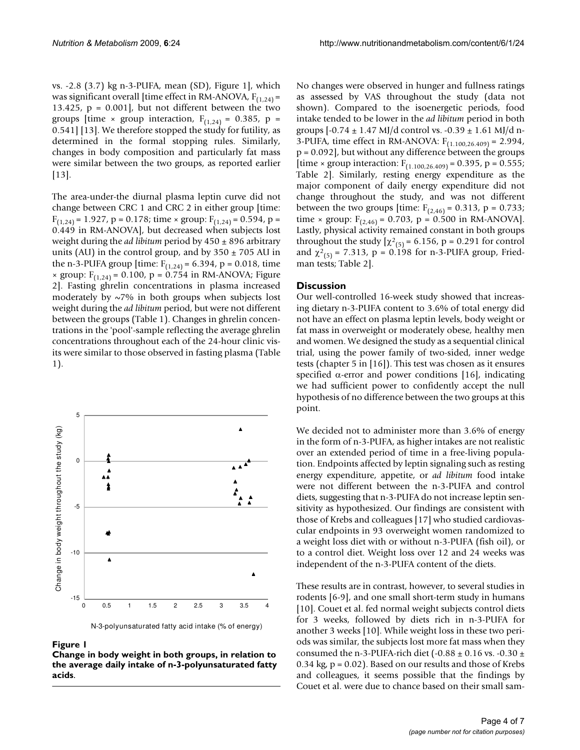vs. -2.8 (3.7) kg n-3-PUFA, mean (SD), Figure 1], which was significant overall [time effect in RM-ANOVA,  $F_{(1,24)}$  = 13.425,  $p = 0.001$ , but not different between the two groups [time  $\times$  group interaction, F<sub>(1,24)</sub> = 0.385, p = 0.541] [13]. We therefore stopped the study for futility, as determined in the formal stopping rules. Similarly, changes in body composition and particularly fat mass were similar between the two groups, as reported earlier [13].

The area-under-the diurnal plasma leptin curve did not change between CRC 1 and CRC 2 in either group [time:  $F_{(1,24)} = 1.927$ , p = 0.178; time × group:  $F_{(1,24)} = 0.594$ , p = 0.449 in RM-ANOVA], but decreased when subjects lost weight during the *ad libitum* period by 450 ± 896 arbitrary units (AU) in the control group, and by  $350 \pm 705$  AU in the n-3-PUFA group [time:  $F_{(1,24)} = 6.394$ , p = 0.018, time  $\times$  group:  $F_{(1,24)} = 0.100$ , p = 0.754 in RM-ANOVA; Figure 2]. Fasting ghrelin concentrations in plasma increased moderately by  $\sim$ 7% in both groups when subjects lost weight during the *ad libitum* period, but were not different between the groups (Table 1). Changes in ghrelin concentrations in the 'pool'-sample reflecting the average ghrelin concentrations throughout each of the 24-hour clinic visits were similar to those observed in fasting plasma (Table 1).



N-3-polyunsaturated fatty acid intake (% of energy)

Figure 1

**Change in body weight in both groups, in relation to the average daily intake of n-3-polyunsaturated fatty acids**.

No changes were observed in hunger and fullness ratings as assessed by VAS throughout the study (data not shown). Compared to the isoenergetic periods, food intake tended to be lower in the *ad libitum* period in both groups  $[-0.74 \pm 1.47 \text{ MJ/d} \text{ control vs. } -0.39 \pm 1.61 \text{ MJ/d} \text{ n}$ 3-PUFA, time effect in RM-ANOVA:  $F_{(1.100, 26.409)} = 2.994$ , p = 0.092], but without any difference between the groups [time × group interaction:  $F_{(1.100, 26, 409)} = 0.395$ , p = 0.555; Table 2]. Similarly, resting energy expenditure as the major component of daily energy expenditure did not change throughout the study, and was not different between the two groups [time:  $F_{(2,46)} = 0.313$ , p = 0.733; time × group:  $F_{(2,46)} = 0.703$ , p = 0.500 in RM-ANOVA]. Lastly, physical activity remained constant in both groups throughout the study  $[\chi^2_{(5)}]$  = 6.156, p = 0.291 for control and  $\chi^2_{(5)}$  = 7.313, p = 0.198 for n-3-PUFA group, Friedman tests; Table 2].

#### **Discussion**

Our well-controlled 16-week study showed that increasing dietary n-3-PUFA content to 3.6% of total energy did not have an effect on plasma leptin levels, body weight or fat mass in overweight or moderately obese, healthy men and women. We designed the study as a sequential clinical trial, using the power family of two-sided, inner wedge tests (chapter 5 in [16]). This test was chosen as it ensures specified  $\alpha$ -error and power conditions [16], indicating we had sufficient power to confidently accept the null hypothesis of no difference between the two groups at this point.

We decided not to administer more than 3.6% of energy in the form of n-3-PUFA, as higher intakes are not realistic over an extended period of time in a free-living population. Endpoints affected by leptin signaling such as resting energy expenditure, appetite, or *ad libitum* food intake were not different between the n-3-PUFA and control diets, suggesting that n-3-PUFA do not increase leptin sensitivity as hypothesized. Our findings are consistent with those of Krebs and colleagues [17] who studied cardiovascular endpoints in 93 overweight women randomized to a weight loss diet with or without n-3-PUFA (fish oil), or to a control diet. Weight loss over 12 and 24 weeks was independent of the n-3-PUFA content of the diets.

These results are in contrast, however, to several studies in rodents [6-9], and one small short-term study in humans [10]. Couet et al. fed normal weight subjects control diets for 3 weeks, followed by diets rich in n-3-PUFA for another 3 weeks [10]. While weight loss in these two periods was similar, the subjects lost more fat mass when they consumed the n-3-PUFA-rich diet (-0.88  $\pm$  0.16 vs. -0.30  $\pm$ 0.34 kg,  $p = 0.02$ ). Based on our results and those of Krebs and colleagues, it seems possible that the findings by Couet et al. were due to chance based on their small sam-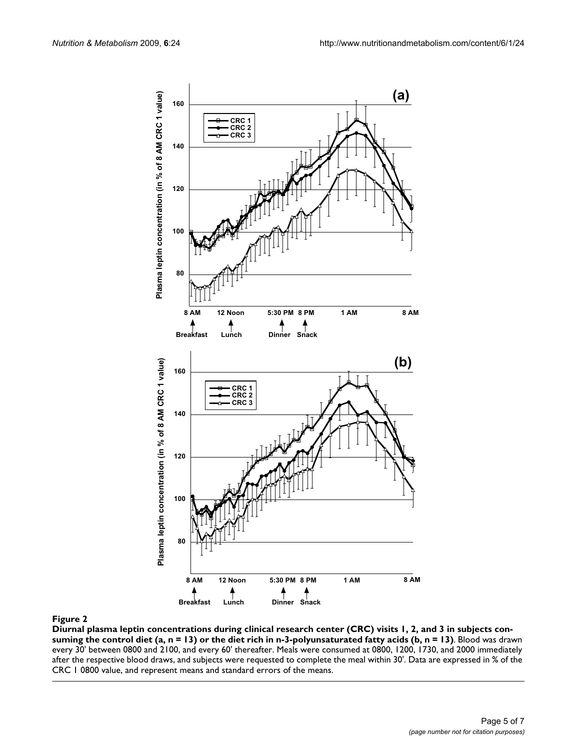

**Diurnal plasma leptin concentrations during clinical research center (CRC) visits 1, 2, and 3 in subjects consuming the control diet (a, n = 13) or the diet rich in n-3-polyunsaturated fatty acids (b, n = 13)**. Blood was drawn every 30' between 0800 and 2100, and every 60' thereafter. Meals were consumed at 0800, 1200, 1730, and 2000 immediately after the respective blood draws, and subjects were requested to complete the meal within 30'. Data are expressed in % of the CRC 1 0800 value, and represent means and standard errors of the means.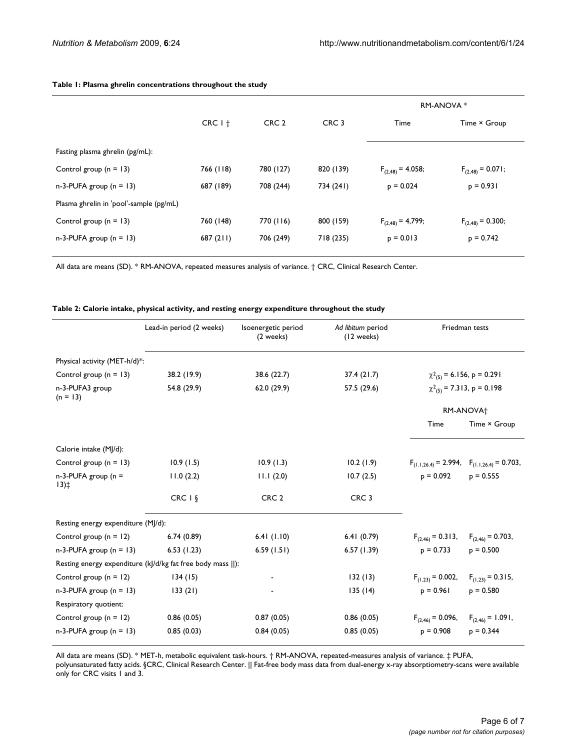|                                         |           |                  |                  | RM-ANOVA *            |                       |
|-----------------------------------------|-----------|------------------|------------------|-----------------------|-----------------------|
|                                         | $CRC I+$  | CRC <sub>2</sub> | CRC <sub>3</sub> | Time                  | Time × Group          |
| Fasting plasma ghrelin (pg/mL):         |           |                  |                  |                       |                       |
| Control group $(n = 13)$                | 766 (118) | 780 (127)        | 820 (139)        | $F_{(2,48)} = 4.058;$ | $F_{(2,48)} = 0.071;$ |
| $n-3-PUFA$ group ( $n = 13$ )           | 687 (189) | 708 (244)        | 734 (241)        | $p = 0.024$           | $p = 0.931$           |
| Plasma ghrelin in 'pool'-sample (pg/mL) |           |                  |                  |                       |                       |
| Control group $(n = 13)$                | 760 (148) | 770 (116)        | 800 (159)        | $F_{(2,48)} = 4,799;$ | $F_{(2,48)} = 0.300;$ |
| $n-3$ -PUFA group ( $n = 13$ )          | 687(211)  | 706 (249)        | 718 (235)        | $p = 0.013$           | $p = 0.742$           |
|                                         |           |                  |                  |                       |                       |

#### **Table 1: Plasma ghrelin concentrations throughout the study**

All data are means (SD). \* RM-ANOVA, repeated measures analysis of variance. † CRC, Clinical Research Center.

#### **Table 2: Calorie intake, physical activity, and resting energy expenditure throughout the study**

|                                    | Lead-in period (2 weeks)                                    | Isoenergetic period<br>(2 weeks) | Ad libitum period<br>(12 weeks) | Friedman tests                                 |                                                       |
|------------------------------------|-------------------------------------------------------------|----------------------------------|---------------------------------|------------------------------------------------|-------------------------------------------------------|
| Physical activity (MET-h/d)*:      |                                                             |                                  |                                 |                                                |                                                       |
| Control group $(n = 13)$           | 38.2 (19.9)                                                 | 38.6 (22.7)                      | 37.4(21.7)                      | $\chi^2_{(5)}$ = 6.156, p = 0.291              |                                                       |
| n-3-PUFA3 group<br>$(n = 13)$      | 54.8 (29.9)                                                 | 62.0 (29.9)                      | 57.5 (29.6)                     | $\chi^2_{(5)}$ = 7.313, p = 0.198<br>RM-ANOVA+ |                                                       |
|                                    |                                                             |                                  |                                 |                                                |                                                       |
|                                    |                                                             |                                  |                                 | Time                                           | Time × Group                                          |
| Calorie intake (MJ/d):             |                                                             |                                  |                                 |                                                |                                                       |
| Control group $(n = 13)$           | 10.9(1.5)                                                   | 10.9(1.3)                        | 10.2(1.9)                       |                                                | $F_{(1.1,26.4)} = 2.994$ , $F_{(1.1,26.4)} = 0.703$ , |
| $n-3$ -PUFA group ( $n =$<br>13)   | 11.0(2.2)                                                   | 11.1(2.0)                        | 10.7(2.5)                       | $p = 0.092$                                    | $p = 0.555$                                           |
|                                    | $CRC I$ §                                                   | CRC <sub>2</sub>                 | CRC <sub>3</sub>                |                                                |                                                       |
| Resting energy expenditure (MJ/d): |                                                             |                                  |                                 |                                                |                                                       |
| Control group $(n = 12)$           | 6.74(0.89)                                                  | 6.41(1.10)                       | 6.41(0.79)                      | $F_{(2,46)} = 0.313$ ,                         | $F_{(2,46)} = 0.703$ ,                                |
| $n-3-PUFA$ group ( $n = 13$ )      | 6.53(1.23)                                                  | 6.59(1.51)                       | 6.57(1.39)                      | $p = 0.733$                                    | $p = 0.500$                                           |
|                                    | Resting energy expenditure (k /d/kg fat free body mass   ): |                                  |                                 |                                                |                                                       |
| Control group $(n = 12)$           | 134(15)                                                     |                                  | 132(13)                         | $F_{(1,23)} = 0.002$ ,                         | $F_{(1,23)} = 0.315$ ,                                |
| $n-3$ -PUFA group ( $n = 13$ )     | 133(21)                                                     |                                  | 135(14)                         | $p = 0.961$                                    | $p = 0.580$                                           |
| Respiratory quotient:              |                                                             |                                  |                                 |                                                |                                                       |
| Control group $(n = 12)$           | 0.86(0.05)                                                  | 0.87(0.05)                       | 0.86(0.05)                      | $F_{(2,46)} = 0.096$ ,                         | $F_{(2,46)} = 1.091,$                                 |
| $n-3-PUFA$ group ( $n = 13$ )      | 0.85(0.03)                                                  | 0.84(0.05)                       | 0.85(0.05)                      | $p = 0.908$                                    | $p = 0.344$                                           |

All data are means (SD). \* MET-h, metabolic equivalent task-hours. † RM-ANOVA, repeated-measures analysis of variance. ‡ PUFA,

polyunsaturated fatty acids. §CRC, Clinical Research Center. || Fat-free body mass data from dual-energy x-ray absorptiometry-scans were available only for CRC visits 1 and 3.